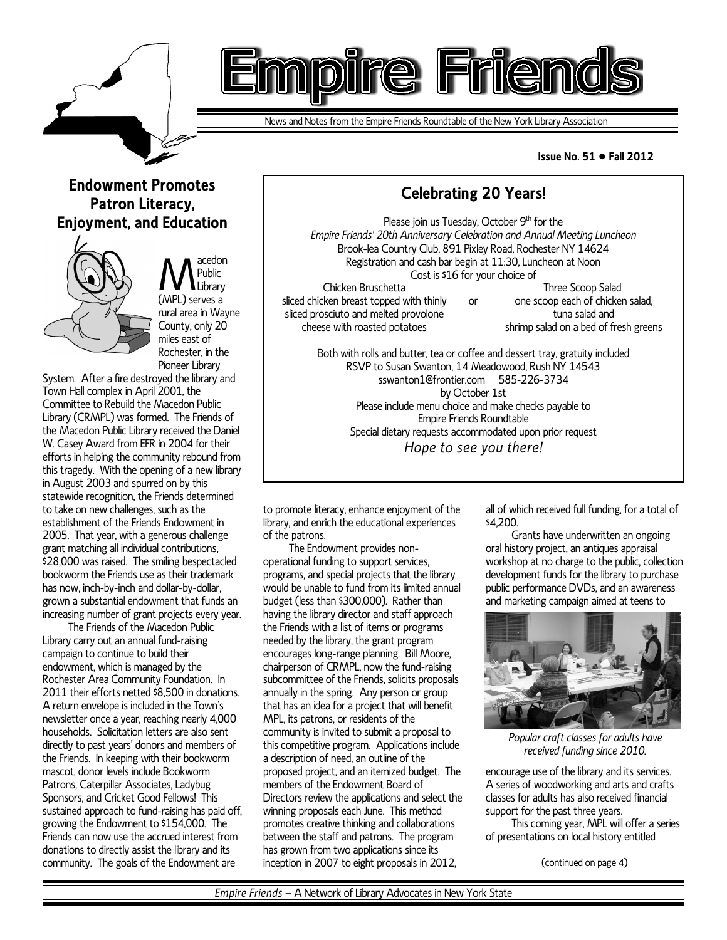

# e.

News and Notes from the Empire Friends Roundtable of the New York Library Association

#### **Issue No. 51 ● Fall 2012**

## **Endowment Promotes Patron Literacy, Enjoyment, and Education**



Meublic<br>(MPL) serves a acedon Public Library rural area in Wayne County, only 20 miles east of Rochester, in the Pioneer Library

System. After a fire destroyed the library and Town Hall complex in April 2001, the Committee to Rebuild the Macedon Public Library (CRMPL) was formed. The Friends of the Macedon Public Library received the Daniel W. Casey Award from EFR in 2004 for their efforts in helping the community rebound from this tragedy. With the opening of a new library in August 2003 and spurred on by this statewide recognition, the Friends determined to take on new challenges, such as the establishment of the Friends Endowment in 2005. That year, with a generous challenge grant matching all individual contributions, \$28,000 was raised. The smiling bespectacled bookworm the Friends use as their trademark has now, inch-by-inch and dollar-by-dollar, grown a substantial endowment that funds an increasing number of grant projects every year.

The Friends of the Macedon Public Library carry out an annual fund-raising campaign to continue to build their endowment, which is managed by the Rochester Area Community Foundation. In 2011 their efforts netted \$8,500 in donations. A return envelope is included in the Town's newsletter once a year, reaching nearly 4,000 households. Solicitation letters are also sent directly to past years' donors and members of the Friends. In keeping with their bookworm mascot, donor levels include Bookworm Patrons, Caterpillar Associates, Ladybug Sponsors, and Cricket Good Fellows! This sustained approach to fund-raising has paid off, growing the Endowment to \$154,000. The Friends can now use the accrued interest from donations to directly assist the library and its community. The goals of the Endowment are

Please join us Tuesday, October  $9<sup>th</sup>$  for the *Empire Friends' 20th Anniversary Celebration and Annual Meeting Luncheon* Brook-lea Country Club, 891 Pixley Road, Rochester NY 14624 Registration and cash bar begin at 11:30, Luncheon at Noon Cost is \$16 for your choice of Chicken Bruschetta

or

**Celebrating 20 Years!**

sliced chicken breast topped with thinly sliced prosciuto and melted provolone cheese with roasted potatoes

Three Scoop Salad one scoop each of chicken salad, tuna salad and shrimp salad on a bed of fresh greens

Both with rolls and butter, tea or coffee and dessert tray, gratuity included RSVP to Susan Swanton, 14 Meadowood, Rush NY 14543 sswanton1@frontier.com 585-226-3734 by October 1st Please include menu choice and make checks payable to Empire Friends Roundtable Special dietary requests accommodated upon prior request *Hope to see you there!*

to promote literacy, enhance enjoyment of the library, and enrich the educational experiences of the patrons.

The Endowment provides nonoperational funding to support services, programs, and special projects that the library would be unable to fund from its limited annual budget (less than \$300,000). Rather than having the library director and staff approach the Friends with a list of items or programs needed by the library, the grant program encourages long-range planning. Bill Moore, chairperson of CRMPL, now the fund-raising subcommittee of the Friends, solicits proposals annually in the spring. Any person or group that has an idea for a project that will benefit MPL, its patrons, or residents of the community is invited to submit a proposal to this competitive program. Applications include a description of need, an outline of the proposed project, and an itemized budget. The members of the Endowment Board of Directors review the applications and select the winning proposals each June. This method promotes creative thinking and collaborations between the staff and patrons. The program has grown from two applications since its inception in 2007 to eight proposals in 2012,

all of which received full funding, for a total of \$4,200.

Grants have underwritten an ongoing oral history project, an antiques appraisal workshop at no charge to the public, collection development funds for the library to purchase public performance DVDs, and an awareness and marketing campaign aimed at teens to



*Popular craft classes for adults have received funding since 2010.*

encourage use of the library and its services. A series of woodworking and arts and crafts classes for adults has also received financial support for the past three years.

This coming year, MPL will offer a series of presentations on local history entitled

(continued on page 4)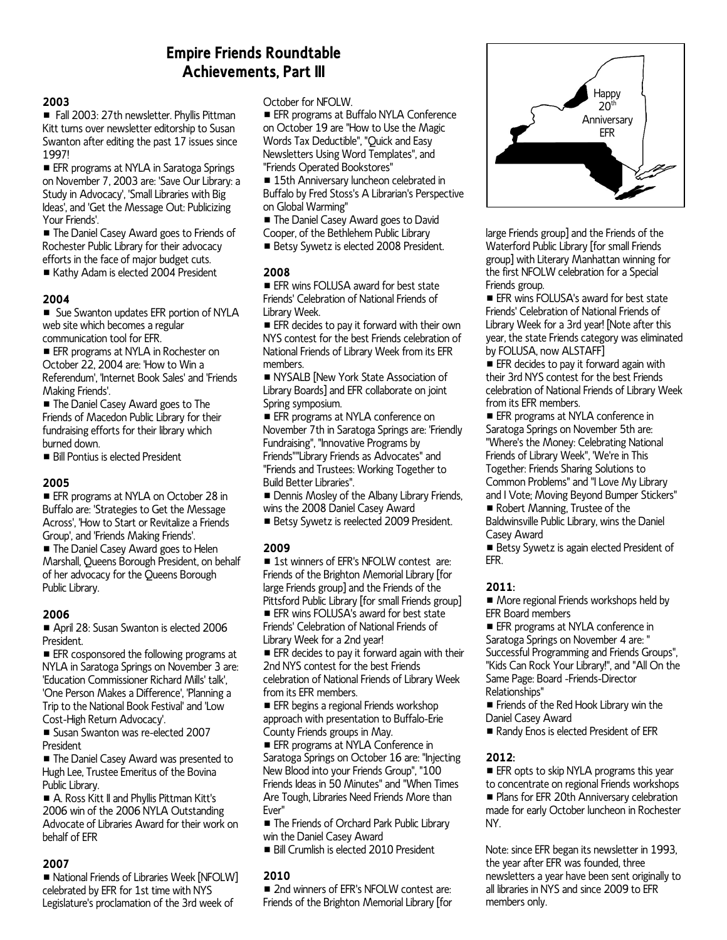## **Empire Friends Roundtable Achievements, Part III**

#### **2003**

■ Fall 2003: 27th newsletter. Phyllis Pittman Kitt turns over newsletter editorship to Susan Swanton after editing the past 17 issues since 1997!

**EFR** programs at NYLA in Saratoga Springs on November 7, 2003 are: 'Save Our Library: a Study in Advocacy', 'Small Libraries with Big Ideas', and 'Get the Message Out: Publicizing Your Friends'.

■ The Daniel Casey Award goes to Friends of Rochester Public Library for their advocacy efforts in the face of major budget cuts.

Kathy Adam is elected 2004 President

#### **2004**

**E** Sue Swanton updates EFR portion of NYLA web site which becomes a regular communication tool for EFR.

**EFR** programs at NYLA in Rochester on October 22, 2004 are: 'How to Win a Referendum', 'Internet Book Sales' and 'Friends Making Friends'.

■ The Daniel Casey Award goes to The Friends of Macedon Public Library for their fundraising efforts for their library which burned down.

**B** Bill Pontius is elected President

#### **2005**

**EFR programs at NYLA on October 28 in** Buffalo are: 'Strategies to Get the Message Across', 'How to Start or Revitalize a Friends Group', and 'Friends Making Friends'.

The Daniel Casey Award goes to Helen Marshall, Queens Borough President, on behalf of her advocacy for the Queens Borough Public Library.

#### **2006**

April 28: Susan Swanton is elected 2006 President.

**EFR** cosponsored the following programs at NYLA in Saratoga Springs on November 3 are: 'Education Commissioner Richard Mills' talk', 'One Person Makes a Difference', 'Planning a Trip to the National Book Festival' and 'Low Cost-High Return Advocacy'.

**E** Susan Swanton was re-elected 2007 President

■ The Daniel Casey Award was presented to Hugh Lee, Trustee Emeritus of the Bovina Public Library.

A. Ross Kitt II and Phyllis Pittman Kitt's 2006 win of the 2006 NYLA Outstanding Advocate of Libraries Award for their work on behalf of EFR

#### **2007**

■ National Friends of Libraries Week [NFOLW] celebrated by EFR for 1st time with NYS Legislature's proclamation of the 3rd week of

October for NFOLW.

**EFR programs at Buffalo NYLA Conference** on October 19 are "How to Use the Magic Words Tax Deductible", "Quick and Easy Newsletters Using Word Templates", and "Friends Operated Bookstores"

■ 15th Anniversary luncheon celebrated in Buffalo by Fred Stoss's A Librarian's Perspective on Global Warming"

■ The Daniel Casey Award goes to David

Cooper, of the Bethlehem Public Library

**Betsy Sywetz is elected 2008 President.** 

#### **2008**

**EFR wins FOLUSA award for best state** Friends' Celebration of National Friends of Library Week.

**EFR** decides to pay it forward with their own NYS contest for the best Friends celebration of National Friends of Library Week from its EFR members.

NYSALB [New York State Association of Library Boards] and EFR collaborate on joint Spring symposium.

**EFR** programs at NYLA conference on November 7th in Saratoga Springs are: 'Friendly Fundraising", "Innovative Programs by Friends""Library Friends as Advocates" and "Friends and Trustees: Working Together to Build Better Libraries".

**E** Dennis Mosley of the Albany Library Friends, wins the 2008 Daniel Casey Award

Betsy Sywetz is reelected 2009 President.

#### **2009**

■ 1st winners of EFR's NFOLW contest are: Friends of the Brighton Memorial Library [for large Friends group] and the Friends of the Pittsford Public Library [for small Friends group]

**EFR** wins FOLUSA's award for best state Friends' Celebration of National Friends of Library Week for a 2nd year!

**EFR** decides to pay it forward again with their 2nd NYS contest for the best Friends celebration of National Friends of Library Week from its EFR members.

**EFR** begins a regional Friends workshop approach with presentation to Buffalo-Erie County Friends groups in May.

**EFR** programs at NYLA Conference in Saratoga Springs on October 16 are: "Injecting New Blood into your Friends Group", "100 Friends Ideas in 50 Minutes" and "When Times Are Tough, Libraries Need Friends More than Ever"

■ The Friends of Orchard Park Public Library win the Daniel Casey Award

Bill Crumlish is elected 2010 President

#### **2010**

■ 2nd winners of EFR's NFOLW contest are: Friends of the Brighton Memorial Library [for



large Friends group] and the Friends of the Waterford Public Library [for small Friends group] with Literary Manhattan winning for the first NFOLW celebration for a Special Friends group.

 $\blacksquare$  EFR wins FOLUSA's award for best state Friends' Celebration of National Friends of Library Week for a 3rd year! [Note after this year, the state Friends category was eliminated by FOLUSA, now ALSTAFF]

 $\blacksquare$  EFR decides to pay it forward again with their 3rd NYS contest for the best Friends celebration of National Friends of Library Week from its EFR members.

**EFR** programs at NYLA conference in Saratoga Springs on November 5th are: "Where's the Money: Celebrating National Friends of Library Week", 'We're in This Together: Friends Sharing Solutions to Common Problems" and "I Love My Library and I Vote; Moving Beyond Bumper Stickers" Robert Manning, Trustee of the

Baldwinsville Public Library, wins the Daniel Casey Award

Betsy Sywetz is again elected President of EFR.

#### **2011:**

■ More regional Friends workshops held by EFR Board members

**EFR** programs at NYLA conference in Saratoga Springs on November 4 are: " Successful Programming and Friends Groups", "Kids Can Rock Your Library!", and "All On the Same Page: Board -Friends-Director Relationships"

**Fiends of the Red Hook Library win the** Daniel Casey Award

Randy Enos is elected President of EFR

#### **2012:**

**EFR** opts to skip NYLA programs this year to concentrate on regional Friends workshops **Plans for EFR 20th Anniversary celebration** made for early October luncheon in Rochester NY.

Note: since EFR began its newsletter in 1993, the year after EFR was founded, three newsletters a year have been sent originally to all libraries in NYS and since 2009 to EFR members only.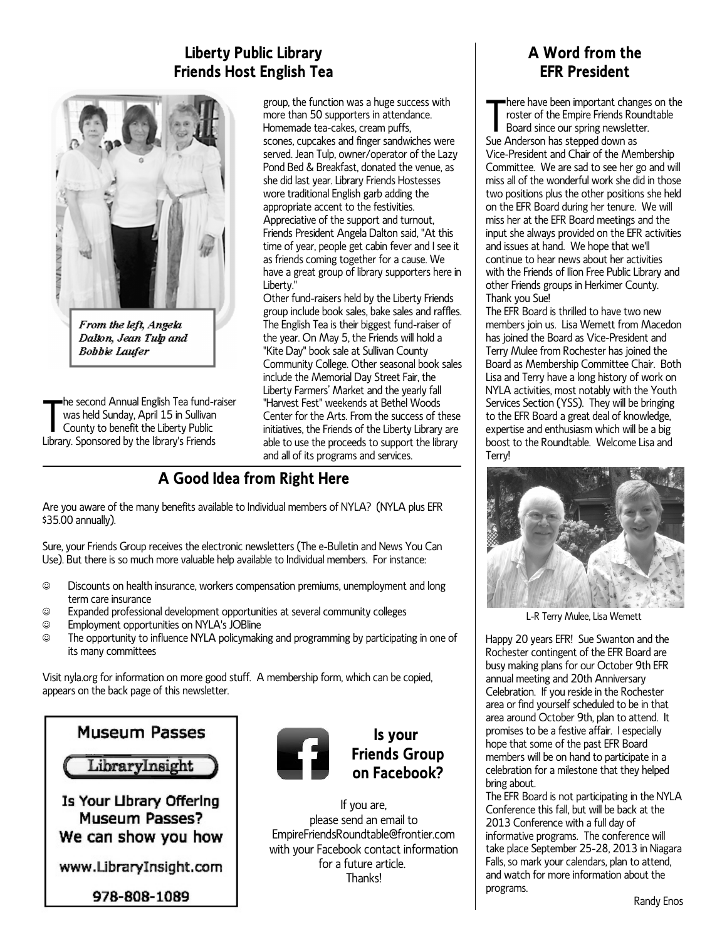# **Liberty Public Library Friends Host English Tea**



From the left, Angela Dalton, Jean Tulp and **Bobbie Laufer** 

The second Annual English Tea fund-<br>was held Sunday, April 15 in Sullivan<br>County to benefit the Liberty Public<br>Library. Sponsored by the library's Friends he second Annual English Tea fund-raiser was held Sunday, April 15 in Sullivan County to benefit the Liberty Public

group, the function was a huge success with more than 50 supporters in attendance. Homemade tea-cakes, cream puffs, scones, cupcakes and finger sandwiches were served. Jean Tulp, owner/operator of the Lazy Pond Bed & Breakfast, donated the venue, as she did last year. Library Friends Hostesses wore traditional English garb adding the appropriate accent to the festivities. Appreciative of the support and turnout, Friends President Angela Dalton said, "At this time of year, people get cabin fever and I see it as friends coming together for a cause. We have a great group of library supporters here in Liberty."

Other fund-raisers held by the Liberty Friends group include book sales, bake sales and raffles. The English Tea is their biggest fund-raiser of the year. On May 5, the Friends will hold a "Kite Day" book sale at Sullivan County Community College. Other seasonal book sales include the Memorial Day Street Fair, the Liberty Farmers' Market and the yearly fall "Harvest Fest" weekends at Bethel Woods Center for the Arts. From the success of these initiatives, the Friends of the Liberty Library are able to use the proceeds to support the library and all of its programs and services.

# **A Good Idea from Right Here**

Are you aware of the many benefits available to Individual members of NYLA? (NYLA plus EFR \$35.00 annually).

Sure, your Friends Group receives the electronic newsletters (The e-Bulletin and News You Can Use). But there is so much more valuable help available to Individual members. For instance:

- ( Discounts on health insurance, workers compensation premiums, unemployment and long term care insurance
- ( Expanded professional development opportunities at several community colleges
- $\circledcirc$  Employment opportunities on NYLA's JOBline<br> $\circledcirc$  The opportunity to influence NYLA policymaki
- The opportunity to influence NYLA policymaking and programming by participating in one of its many committees

Visit nyla.org for information on more good stuff. A membership form, which can be copied, appears on the back page of this newsletter.

# **Museum Passes**

LibraryInsight

Is Your Library Offering Museum Passes? We can show you how

www.LibraryInsight.com

978-808-1089



### **Is your Friends Group on Facebook?**

If you are, please send an email to EmpireFriendsRoundtable@frontier.com with your Facebook contact information for a future article. **Thanks!** 

## **A Word from the EFR President**

There have been important chan<br>roster of the Empire Friends Ro<br>Board since our spring newslett<br>Sue Anderson has stepped down as here have been important changes on the roster of the Empire Friends Roundtable Board since our spring newsletter. Vice-President and Chair of the Membership Committee. We are sad to see her go and will miss all of the wonderful work she did in those two positions plus the other positions she held on the EFR Board during her tenure. We will miss her at the EFR Board meetings and the input she always provided on the EFR activities and issues at hand. We hope that we'll continue to hear news about her activities with the Friends of Ilion Free Public Library and other Friends groups in Herkimer County. Thank you Sue!

The EFR Board is thrilled to have two new members join us. Lisa Wemett from Macedon has joined the Board as Vice-President and Terry Mulee from Rochester has joined the Board as Membership Committee Chair. Both Lisa and Terry have a long history of work on NYLA activities, most notably with the Youth Services Section (YSS). They will be bringing to the EFR Board a great deal of knowledge, expertise and enthusiasm which will be a big boost to the Roundtable. Welcome Lisa and Terry!



L-R Terry Mulee, Lisa Wemett

Happy 20 years EFR! Sue Swanton and the Rochester contingent of the EFR Board are busy making plans for our October 9th EFR annual meeting and 20th Anniversary Celebration. If you reside in the Rochester area or find yourself scheduled to be in that area around October 9th, plan to attend. It promises to be a festive affair. I especially hope that some of the past EFR Board members will be on hand to participate in a celebration for a milestone that they helped bring about.

The EFR Board is not participating in the NYLA Conference this fall, but will be back at the 2013 Conference with a full day of informative programs. The conference will take place September 25-28, 2013 in Niagara Falls, so mark your calendars, plan to attend, and watch for more information about the programs.